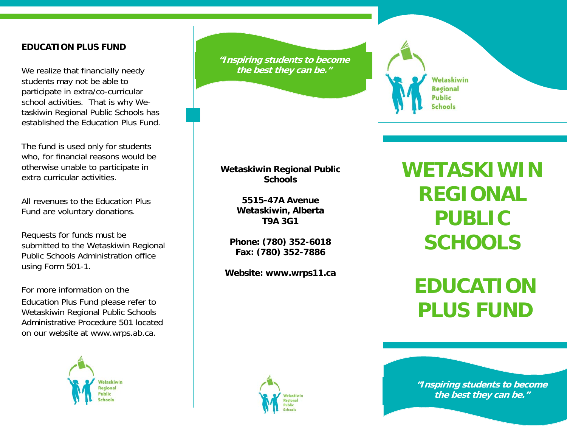#### **EDUCATION PLUS FUND**

We realize that financially needy students may not be able to participate in extra/co-curricular school activities. That is why Wetaskiwin Regional Public Schools has established the Education Plus Fund.

The fund is used only for students who, for financial reasons would be otherwise unable to participate in extra curricular activities.

All revenues to the Education Plus Fund are voluntary donations.

Requests for funds must be submitted to the Wetaskiwin Regional Public Schools Administration office using Form 501-1.

For more information on the Education Plus Fund please refer to Wetaskiwin Regional Public Schools Administrative Procedure 501 located on our website at www.wrps.ab.ca.



**"Inspiring students to become the best they can be."** 

### **Wetaskiwin Regional Public Schools**

**5515-47A Avenue Wetaskiwin, Alberta T9A 3G1** 

**Phone: (780) 352-6018 Fax: (780) 352-7886** 

**Website: www.wrps11.ca** 



Wetaskiwin **Regional Public Schools** 

**EDUCATION PLUS FUND** 



**"Inspiring students to become the best they can be."**